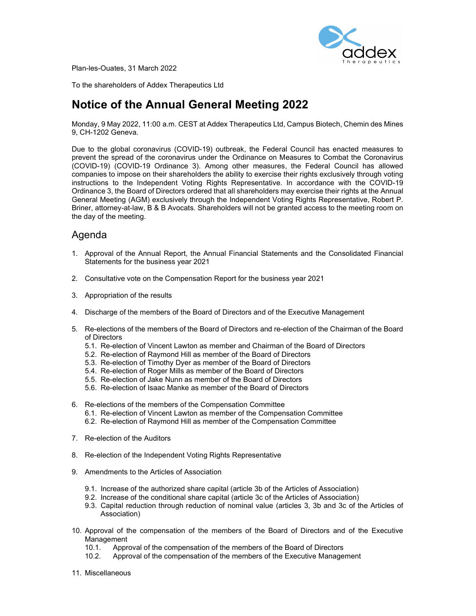

Plan-les-Ouates, 31 March 2022

To the shareholders of Addex Therapeutics Ltd

# Notice of the Annual General Meeting 2022

Monday, 9 May 2022, 11:00 a.m. CEST at Addex Therapeutics Ltd, Campus Biotech, Chemin des Mines 9, CH-1202 Geneva.

Due to the global coronavirus (COVID-19) outbreak, the Federal Council has enacted measures to prevent the spread of the coronavirus under the Ordinance on Measures to Combat the Coronavirus (COVID-19) (COVID-19 Ordinance 3). Among other measures, the Federal Council has allowed companies to impose on their shareholders the ability to exercise their rights exclusively through voting instructions to the Independent Voting Rights Representative. In accordance with the COVID-19 Ordinance 3, the Board of Directors ordered that all shareholders may exercise their rights at the Annual General Meeting (AGM) exclusively through the Independent Voting Rights Representative, Robert P. Briner, attorney-at-law, B & B Avocats. Shareholders will not be granted access to the meeting room on the day of the meeting.

## Agenda

- 1. Approval of the Annual Report, the Annual Financial Statements and the Consolidated Financial Statements for the business year 2021
- 2. Consultative vote on the Compensation Report for the business year 2021
- 3. Appropriation of the results
- 4. Discharge of the members of the Board of Directors and of the Executive Management
- 5. Re-elections of the members of the Board of Directors and re-election of the Chairman of the Board of Directors
	- 5.1. Re-election of Vincent Lawton as member and Chairman of the Board of Directors
	- 5.2. Re-election of Raymond Hill as member of the Board of Directors
	- 5.3. Re-election of Timothy Dyer as member of the Board of Directors
	- 5.4. Re-election of Roger Mills as member of the Board of Directors
	- 5.5. Re-election of Jake Nunn as member of the Board of Directors
	- 5.6. Re-election of Isaac Manke as member of the Board of Directors
- 6. Re-elections of the members of the Compensation Committee
	- 6.1. Re-election of Vincent Lawton as member of the Compensation Committee
	- 6.2. Re-election of Raymond Hill as member of the Compensation Committee
- 7. Re-election of the Auditors
- 8. Re-election of the Independent Voting Rights Representative
- 9. Amendments to the Articles of Association
	- 9.1. Increase of the authorized share capital (article 3b of the Articles of Association)
	- 9.2. Increase of the conditional share capital (article 3c of the Articles of Association)
	- 9.3. Capital reduction through reduction of nominal value (articles 3, 3b and 3c of the Articles of Association)
- 10. Approval of the compensation of the members of the Board of Directors and of the Executive Management
	- 10.1. Approval of the compensation of the members of the Board of Directors
	- 10.2. Approval of the compensation of the members of the Executive Management
- 11. Miscellaneous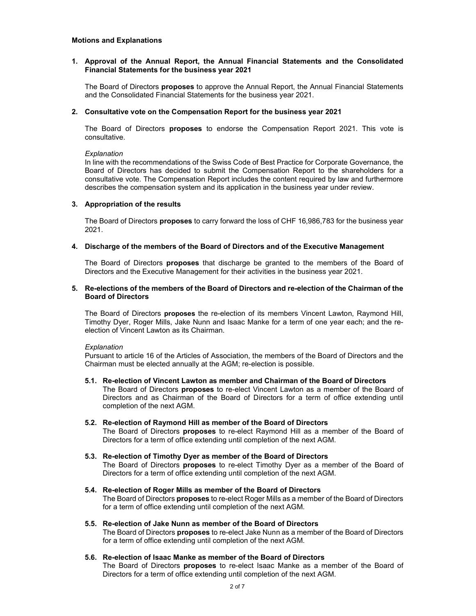## 1. Approval of the Annual Report, the Annual Financial Statements and the Consolidated Financial Statements for the business year 2021

The Board of Directors **proposes** to approve the Annual Report, the Annual Financial Statements and the Consolidated Financial Statements for the business year 2021.

## 2. Consultative vote on the Compensation Report for the business year 2021

The Board of Directors **proposes** to endorse the Compensation Report 2021. This vote is consultative.

## **Explanation**

In line with the recommendations of the Swiss Code of Best Practice for Corporate Governance, the Board of Directors has decided to submit the Compensation Report to the shareholders for a consultative vote. The Compensation Report includes the content required by law and furthermore describes the compensation system and its application in the business year under review.

## 3. Appropriation of the results

The Board of Directors **proposes** to carry forward the loss of CHF 16,986,783 for the business year 2021.

## 4. Discharge of the members of the Board of Directors and of the Executive Management

The Board of Directors **proposes** that discharge be granted to the members of the Board of Directors and the Executive Management for their activities in the business year 2021.

## 5. Re-elections of the members of the Board of Directors and re-election of the Chairman of the Board of Directors

The Board of Directors proposes the re-election of its members Vincent Lawton, Raymond Hill, Timothy Dyer, Roger Mills, Jake Nunn and Isaac Manke for a term of one year each; and the reelection of Vincent Lawton as its Chairman.

## Explanation

completion of the next AGM.

Pursuant to article 16 of the Articles of Association, the members of the Board of Directors and the Chairman must be elected annually at the AGM; re-election is possible.

#### 5.1. Re-election of Vincent Lawton as member and Chairman of the Board of Directors The Board of Directors proposes to re-elect Vincent Lawton as a member of the Board of Directors and as Chairman of the Board of Directors for a term of office extending until

- 5.2. Re-election of Raymond Hill as member of the Board of Directors The Board of Directors **proposes** to re-elect Raymond Hill as a member of the Board of Directors for a term of office extending until completion of the next AGM.
- 5.3. Re-election of Timothy Dyer as member of the Board of Directors The Board of Directors proposes to re-elect Timothy Dyer as a member of the Board of Directors for a term of office extending until completion of the next AGM.
- 5.4. Re-election of Roger Mills as member of the Board of Directors The Board of Directors **proposes** to re-elect Roger Mills as a member of the Board of Directors for a term of office extending until completion of the next AGM.
- 5.5. Re-election of Jake Nunn as member of the Board of Directors The Board of Directors **proposes** to re-elect Jake Nunn as a member of the Board of Directors for a term of office extending until completion of the next AGM.

## 5.6. Re-election of Isaac Manke as member of the Board of Directors

The Board of Directors **proposes** to re-elect Isaac Manke as a member of the Board of Directors for a term of office extending until completion of the next AGM.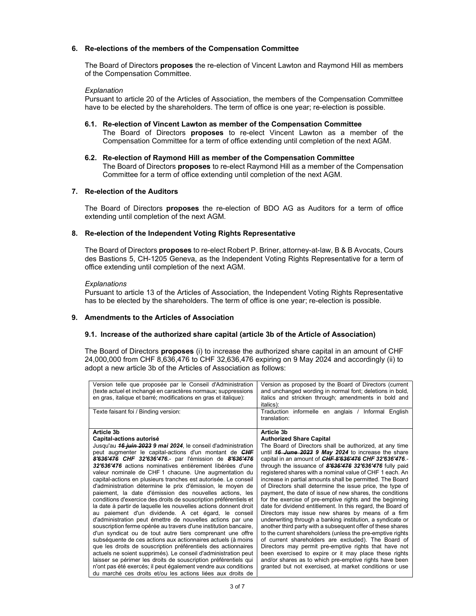## 6. Re-elections of the members of the Compensation Committee

The Board of Directors **proposes** the re-election of Vincent Lawton and Raymond Hill as members of the Compensation Committee.

## Explanation

Pursuant to article 20 of the Articles of Association, the members of the Compensation Committee have to be elected by the shareholders. The term of office is one year; re-election is possible.

## 6.1. Re-election of Vincent Lawton as member of the Compensation Committee The Board of Directors **proposes** to re-elect Vincent Lawton as a member of the Compensation Committee for a term of office extending until completion of the next AGM.

6.2. Re-election of Raymond Hill as member of the Compensation Committee The Board of Directors **proposes** to re-elect Raymond Hill as a member of the Compensation Committee for a term of office extending until completion of the next AGM.

## 7. Re-election of the Auditors

The Board of Directors **proposes** the re-election of BDO AG as Auditors for a term of office extending until completion of the next AGM.

#### 8. Re-election of the Independent Voting Rights Representative

The Board of Directors **proposes** to re-elect Robert P. Briner, attorney-at-law, B & B Avocats, Cours des Bastions 5, CH-1205 Geneva, as the Independent Voting Rights Representative for a term of office extending until completion of the next AGM.

#### **Explanations**

Pursuant to article 13 of the Articles of Association, the Independent Voting Rights Representative has to be elected by the shareholders. The term of office is one year; re-election is possible.

## 9. Amendments to the Articles of Association

#### 9.1. Increase of the authorized share capital (article 3b of the Article of Association)

The Board of Directors **proposes** (i) to increase the authorized share capital in an amount of CHF 24,000,000 from CHF 8,636,476 to CHF 32,636,476 expiring on 9 May 2024 and accordingly (ii) to adopt a new article 3b of the Articles of Association as follows:

| Version telle que proposée par le Conseil d'Administration<br>(texte actuel et inchangé en caractères normaux; suppressions<br>en gras, italique et barré; modifications en gras et italique):<br>Texte faisant foi / Binding version:                                                                                                                                                                                                                                                                                                                                                                                                                                                                                                                                                                                                                                                                                                                                                                                                                                                                                                                                                                                                                                                                                                            | Version as proposed by the Board of Directors (current<br>and unchanged wording in normal font; deletions in bold,<br>italics and stricken through; amendments in bold and<br>italics):<br>Traduction informelle en anglais / Informal English                                                                                                                                                                                                                                                                                                                                                                                                                                                                                                                                                                                                                                                                                                                                                                                                                                                                                                                                                                |
|---------------------------------------------------------------------------------------------------------------------------------------------------------------------------------------------------------------------------------------------------------------------------------------------------------------------------------------------------------------------------------------------------------------------------------------------------------------------------------------------------------------------------------------------------------------------------------------------------------------------------------------------------------------------------------------------------------------------------------------------------------------------------------------------------------------------------------------------------------------------------------------------------------------------------------------------------------------------------------------------------------------------------------------------------------------------------------------------------------------------------------------------------------------------------------------------------------------------------------------------------------------------------------------------------------------------------------------------------|---------------------------------------------------------------------------------------------------------------------------------------------------------------------------------------------------------------------------------------------------------------------------------------------------------------------------------------------------------------------------------------------------------------------------------------------------------------------------------------------------------------------------------------------------------------------------------------------------------------------------------------------------------------------------------------------------------------------------------------------------------------------------------------------------------------------------------------------------------------------------------------------------------------------------------------------------------------------------------------------------------------------------------------------------------------------------------------------------------------------------------------------------------------------------------------------------------------|
|                                                                                                                                                                                                                                                                                                                                                                                                                                                                                                                                                                                                                                                                                                                                                                                                                                                                                                                                                                                                                                                                                                                                                                                                                                                                                                                                                   | translation:                                                                                                                                                                                                                                                                                                                                                                                                                                                                                                                                                                                                                                                                                                                                                                                                                                                                                                                                                                                                                                                                                                                                                                                                  |
| Article 3b<br>Capital-actions autorisé<br>Jusqu'au 16 juin 2023 9 mai 2024, le conseil d'administration<br>peut augmenter le capital-actions d'un montant de CHF<br>8'636'476 CHF 32'636'476.- par l'émission de 8'636'476<br>32'636'476 actions nominatives entièrement libérées d'une<br>valeur nominale de CHF 1 chacune. Une augmentation du<br>capital-actions en plusieurs tranches est autorisée. Le conseil<br>d'administration détermine le prix d'émission, le moyen de<br>paiement, la date d'émission des nouvelles actions, les<br>conditions d'exercice des droits de souscription préférentiels et<br>la date à partir de laquelle les nouvelles actions donnent droit<br>au paiement d'un dividende. A cet égard, le conseil<br>d'administration peut émettre de nouvelles actions par une<br>souscription ferme opérée au travers d'une institution bancaire,<br>d'un syndicat ou de tout autre tiers comprenant une offre<br>subséquente de ces actions aux actionnaires actuels (à moins<br>que les droits de souscription préférentiels des actionnaires<br>actuels ne soient supprimés). Le conseil d'administration peut<br>laisser se périmer les droits de souscription préférentiels qui<br>n'ont pas été exercés; il peut également vendre aux conditions<br>du marché ces droits et/ou les actions liées aux droits de | Article 3b<br><b>Authorized Share Capital</b><br>The Board of Directors shall be authorized, at any time<br>until 16 June 2023 9 May 2024 to increase the share<br>capital in an amount of CHF 8'636'476 CHF 32'636'476.<br>through the issuance of 8'636'476 32'636'476 fully paid<br>registered shares with a nominal value of CHF 1 each. An<br>increase in partial amounts shall be permitted. The Board<br>of Directors shall determine the issue price, the type of<br>payment, the date of issue of new shares, the conditions<br>for the exercise of pre-emptive rights and the beginning<br>date for dividend entitlement. In this regard, the Board of<br>Directors may issue new shares by means of a firm<br>underwriting through a banking institution, a syndicate or<br>another third party with a subsequent offer of these shares<br>to the current shareholders (unless the pre-emptive rights<br>of current shareholders are excluded). The Board of<br>Directors may permit pre-emptive rights that have not<br>been exercised to expire or it may place these rights<br>and/or shares as to which pre-emptive rights have been<br>granted but not exercised, at market conditions or use |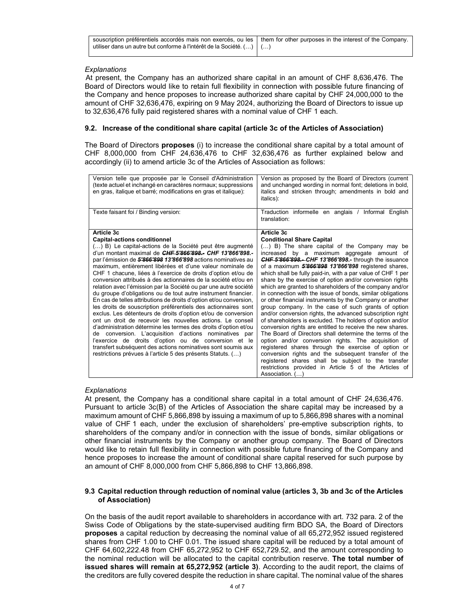| souscription préférentiels accordés mais non exercés, ou les them for other purposes in the interest of the Company.<br>utiliser dans un autre but conforme à l'intérêt de la Société. ()   () |  |
|------------------------------------------------------------------------------------------------------------------------------------------------------------------------------------------------|--|
|                                                                                                                                                                                                |  |

## **Explanations**

At present, the Company has an authorized share capital in an amount of CHF 8,636,476. The Board of Directors would like to retain full flexibility in connection with possible future financing of the Company and hence proposes to increase authorized share capital by CHF 24,000,000 to the amount of CHF 32,636,476, expiring on 9 May 2024, authorizing the Board of Directors to issue up to 32,636,476 fully paid registered shares with a nominal value of CHF 1 each.

## 9.2. Increase of the conditional share capital (article 3c of the Articles of Association)

The Board of Directors **proposes** (i) to increase the conditional share capital by a total amount of CHF 8,000,000 from CHF 24,636,476 to CHF 32,636,476 as further explained below and accordingly (ii) to amend article 3c of the Articles of Association as follows:

| Version telle que proposée par le Conseil d'Administration<br>(texte actuel et inchangé en caractères normaux; suppressions<br>en gras, italique et barré; modifications en gras et italique): | Version as proposed by the Board of Directors (current<br>and unchanged wording in normal font; deletions in bold,<br>italics and stricken through; amendments in bold and<br>italics): |
|------------------------------------------------------------------------------------------------------------------------------------------------------------------------------------------------|-----------------------------------------------------------------------------------------------------------------------------------------------------------------------------------------|
| Texte faisant foi / Binding version:                                                                                                                                                           | Traduction informelle en anglais / Informal English<br>translation:                                                                                                                     |
| Article 3c                                                                                                                                                                                     | Article 3c                                                                                                                                                                              |
| <b>Capital-actions conditionnel</b>                                                                                                                                                            | <b>Conditional Share Capital</b>                                                                                                                                                        |
| () B) Le capital-actions de la Société peut être augmenté                                                                                                                                      | () B) The share capital of the Company may be                                                                                                                                           |
| d'un montant maximal de CHF 5'866'898.- CHF 13'866'898.-                                                                                                                                       | increased by a maximum aggregate amount of                                                                                                                                              |
| par l'émission de 5'866'898 13'866'898 actions nominatives au                                                                                                                                  | <b>CHF 5'866'898 .- CHF 13'866'898.-</b> through the issuance                                                                                                                           |
| maximum, entièrement libérées et d'une valeur nominale de<br>CHF 1 chacune, liées à l'exercice de droits d'option et/ou de                                                                     | of a maximum 5'866'898 13'866'898 registered shares,<br>which shall be fully paid-in, with a par value of CHF 1 per                                                                     |
| conversion attribués à des actionnaires de la société et/ou en                                                                                                                                 | share by the exercise of option and/or conversion rights                                                                                                                                |
| relation avec l'émission par la Société ou par une autre société                                                                                                                               | which are granted to shareholders of the company and/or                                                                                                                                 |
| du groupe d'obligations ou de tout autre instrument financier.                                                                                                                                 | in connection with the issue of bonds, similar obligations                                                                                                                              |
| En cas de telles attributions de droits d'option et/ou conversion,                                                                                                                             | or other financial instruments by the Company or another                                                                                                                                |
| les droits de souscription préférentiels des actionnaires sont                                                                                                                                 | group company. In the case of such grants of option                                                                                                                                     |
| exclus. Les détenteurs de droits d'option et/ou de conversion<br>ont un droit de recevoir les nouvelles actions. Le conseil                                                                    | and/or conversion rights, the advanced subscription right                                                                                                                               |
| d'administration détermine les termes des droits d'option et/ou                                                                                                                                | of shareholders is excluded. The holders of option and/or<br>conversion rights are entitled to receive the new shares.                                                                  |
| de conversion. L'acquisition d'actions nominatives par                                                                                                                                         | The Board of Directors shall determine the terms of the                                                                                                                                 |
| l'exercice de droits d'option ou de conversion et le                                                                                                                                           | option and/or conversion rights. The acquisition of                                                                                                                                     |
| transfert subséquent des actions nominatives sont soumis aux                                                                                                                                   | registered shares through the exercise of option or                                                                                                                                     |
| restrictions prévues à l'article 5 des présents Statuts. ()                                                                                                                                    | conversion rights and the subsequent transfer of the                                                                                                                                    |
|                                                                                                                                                                                                | registered shares shall be subject to the transfer                                                                                                                                      |
|                                                                                                                                                                                                | restrictions provided in Article 5 of the Articles of                                                                                                                                   |
|                                                                                                                                                                                                | Association. ()                                                                                                                                                                         |

## **Explanations**

At present, the Company has a conditional share capital in a total amount of CHF 24,636,476. Pursuant to article 3c(B) of the Articles of Association the share capital may be increased by a maximum amount of CHF 5,866,898 by issuing a maximum of up to 5,866,898 shares with a nominal value of CHF 1 each, under the exclusion of shareholders' pre-emptive subscription rights, to shareholders of the company and/or in connection with the issue of bonds, similar obligations or other financial instruments by the Company or another group company. The Board of Directors would like to retain full flexibility in connection with possible future financing of the Company and hence proposes to increase the amount of conditional share capital reserved for such purpose by an amount of CHF 8,000,000 from CHF 5,866,898 to CHF 13,866,898.

## 9.3 Capital reduction through reduction of nominal value (articles 3, 3b and 3c of the Articles of Association)

On the basis of the audit report available to shareholders in accordance with art. 732 para. 2 of the Swiss Code of Obligations by the state-supervised auditing firm BDO SA, the Board of Directors proposes a capital reduction by decreasing the nominal value of all 65,272,952 issued registered shares from CHF 1.00 to CHF 0.01. The issued share capital will be reduced by a total amount of CHF 64,602,222.48 from CHF 65,272,952 to CHF 652,729.52, and the amount corresponding to the nominal reduction will be allocated to the capital contribution reserve. The total number of issued shares will remain at 65,272,952 (article 3). According to the audit report, the claims of the creditors are fully covered despite the reduction in share capital. The nominal value of the shares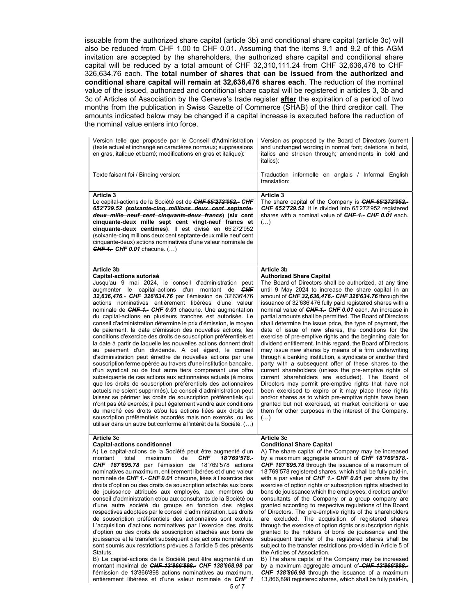issuable from the authorized share capital (article 3b) and conditional share capital (article 3c) will also be reduced from CHF 1.00 to CHF 0.01. Assuming that the items 9.1 and 9.2 of this AGM invitation are accepted by the shareholders, the authorized share capital and conditional share capital will be reduced by a total amount of CHF 32,310,111.24 from CHF 32,636,476 to CHF 326,634.76 each. The total number of shares that can be issued from the authorized and conditional share capital will remain at 32,636,476 shares each. The reduction of the nominal value of the issued, authorized and conditional share capital will be registered in articles 3, 3b and 3c of Articles of Association by the Geneva's trade register after the expiration of a period of two months from the publication in Swiss Gazette of Commerce (SHAB) of the third creditor call. The amounts indicated below may be changed if a capital increase is executed before the reduction of the nominal value enters into force.

| Version telle que proposée par le Conseil d'Administration<br>(texte actuel et inchangé en caractères normaux; suppressions<br>en gras, italique et barré; modifications en gras et italique):                                                                                                                                                                                                                                                                                                                                                                                                                                                                                                                                                                                                                                                                                                                                                                                                                                                                                                                                                                                                                                                                                                                                                                                                                                                                             | Version as proposed by the Board of Directors (current<br>and unchanged wording in normal font; deletions in bold,<br>italics and stricken through; amendments in bold and<br>italics):                                                                                                                                                                                                                                                                                                                                                                                                                                                                                                                                                                                                                                                                                                                                                                                                                                                                                                                                                                                                                                                                                      |
|----------------------------------------------------------------------------------------------------------------------------------------------------------------------------------------------------------------------------------------------------------------------------------------------------------------------------------------------------------------------------------------------------------------------------------------------------------------------------------------------------------------------------------------------------------------------------------------------------------------------------------------------------------------------------------------------------------------------------------------------------------------------------------------------------------------------------------------------------------------------------------------------------------------------------------------------------------------------------------------------------------------------------------------------------------------------------------------------------------------------------------------------------------------------------------------------------------------------------------------------------------------------------------------------------------------------------------------------------------------------------------------------------------------------------------------------------------------------------|------------------------------------------------------------------------------------------------------------------------------------------------------------------------------------------------------------------------------------------------------------------------------------------------------------------------------------------------------------------------------------------------------------------------------------------------------------------------------------------------------------------------------------------------------------------------------------------------------------------------------------------------------------------------------------------------------------------------------------------------------------------------------------------------------------------------------------------------------------------------------------------------------------------------------------------------------------------------------------------------------------------------------------------------------------------------------------------------------------------------------------------------------------------------------------------------------------------------------------------------------------------------------|
| Texte faisant foi / Binding version:                                                                                                                                                                                                                                                                                                                                                                                                                                                                                                                                                                                                                                                                                                                                                                                                                                                                                                                                                                                                                                                                                                                                                                                                                                                                                                                                                                                                                                       | Traduction informelle en anglais / Informal English<br>translation:                                                                                                                                                                                                                                                                                                                                                                                                                                                                                                                                                                                                                                                                                                                                                                                                                                                                                                                                                                                                                                                                                                                                                                                                          |
| Article 3<br>Le capital-actions de la Société est de <i>CHF 65'272'952.</i> - <i>CHF</i><br>652'729.52 (soixante-cinq millions deux cent septante-<br>deux mille neuf cent cinquante-deux francs) (six cent<br>cinquante-deux mille sept cent vingt-neuf francs et<br>cinquante-deux centimes). Il est divisé en 65'272'952<br>(soixante-cing millions deux cent septante-deux mille neuf cent<br>cinquante-deux) actions nominatives d'une valeur nominale de<br><b>CHF 1.- CHF 0.01</b> chacune. $()$                                                                                                                                                                                                                                                                                                                                                                                                                                                                                                                                                                                                                                                                                                                                                                                                                                                                                                                                                                    | Article 3<br>The share capital of the Company is <b>CHF 65'272'952.-</b><br><b>CHF 652'729.52.</b> It is divided into 65'272'952 registered<br>shares with a nominal value of <b>CHF 1.- CHF 0.01</b> each.<br>$(\ldots)$                                                                                                                                                                                                                                                                                                                                                                                                                                                                                                                                                                                                                                                                                                                                                                                                                                                                                                                                                                                                                                                    |
| Article 3b<br>Capital-actions autorisé<br>Jusqu'au 9 mai 2024, le conseil d'administration peut<br>augmenter le capital-actions d'un montant de CHF<br>32,636,476. CHF 326'634.76 par l'émission de 32'636'476<br>actions nominatives entièrement libérées d'une valeur<br>nominale de CHF 1.- CHF 0.01 chacune. Une augmentation<br>du capital-actions en plusieurs tranches est autorisée. Le<br>conseil d'administration détermine le prix d'émission, le moyen<br>de paiement, la date d'émission des nouvelles actions, les<br>conditions d'exercice des droits de souscription préférentiels et<br>la date à partir de laquelle les nouvelles actions donnent droit<br>au paiement d'un dividende. A cet égard, le conseil<br>d'administration peut émettre de nouvelles actions par une<br>souscription ferme opérée au travers d'une institution bancaire,<br>d'un syndicat ou de tout autre tiers comprenant une offre<br>subséquente de ces actions aux actionnaires actuels (à moins<br>que les droits de souscription préférentiels des actionnaires<br>actuels ne soient supprimés). Le conseil d'administration peut<br>laisser se périmer les droits de souscription préférentiels qui<br>n'ont pas été exercés; il peut également vendre aux conditions<br>du marché ces droits et/ou les actions liées aux droits de<br>souscription préférentiels accordés mais non exercés, ou les<br>utiliser dans un autre but conforme à l'intérêt de la Société. () | Article 3b<br><b>Authorized Share Capital</b><br>The Board of Directors shall be authorized, at any time<br>until 9 May 2024 to increase the share capital in an<br>amount of CHF 32,636,476.- CHF 326'634.76 through the<br>issuance of 32'636'476 fully paid registered shares with a<br>nominal value of CHF 1.- CHF 0.01 each. An increase in<br>partial amounts shall be permitted. The Board of Directors<br>shall determine the issue price, the type of payment, the<br>date of issue of new shares, the conditions for the<br>exercise of pre-emptive rights and the beginning date for<br>dividend entitlement. In this regard, the Board of Directors<br>may issue new shares by means of a firm underwriting<br>through a banking institution, a syndicate or another third<br>party with a subsequent offer of these shares to the<br>current shareholders (unless the pre-emptive rights of<br>current shareholders are excluded). The Board of<br>Directors may permit pre-emptive rights that have not<br>been exercised to expire or it may place these rights<br>and/or shares as to which pre-emptive rights have been<br>granted but not exercised, at market conditions or use<br>them for other purposes in the interest of the Company.<br>$(\ldots)$ |
| Article 3c<br><b>Capital-actions conditionnel</b><br>A) Le capital-actions de la Société peut être augmenté d'un<br>CHF 18'769'578 .-<br>maximum<br>de<br>montant<br>total<br><b>CHF 187'695.78</b> par l'émission de 18'769'578 actions<br>nominatives au maximum, entièrement libérées et d'une valeur<br>nominale de CHF 1.- CHF 0.01 chacune, liées à l'exercice des<br>droits d'option ou des droits de souscription attachés aux bons<br>de jouissance attribués aux employés, aux membres du<br>conseil d'administration et/ou aux consultants de la Société ou<br>d'une autre société du groupe en fonction des règles<br>respectives adoptées par le conseil d'administration. Les droits<br>de souscription préférentiels des actionnaires sont exclus.<br>L'acquisition d'actions nominatives par l'exercice des droits<br>d'option ou des droits de souscription attachés aux bons de<br>jouissance et le transfert subséquent des actions nominatives<br>sont soumis aux restrictions prévues à l'article 5 des présents<br>Statuts.<br>B) Le capital-actions de la Société peut être augmenté d'un<br>montant maximal de CHF 13'866'898.- CHF 138'668.98 par<br>l'émission de 13'866'898 actions nominatives au maximum,<br>entièrement libérées et d'une valeur nominale de CHF 1                                                                                                                                                                           | Article 3c<br><b>Conditional Share Capital</b><br>A) The share capital of the Company may be increased<br>by a maximum aggregate amount of CHF 18'769'578.-<br>CHF 187'695.78 through the issuance of a maximum of<br>18'769'578 registered shares, which shall be fully paid-in,<br>with a par value of $CHF 1.$ CHF 0.01 per share by the<br>exercise of option rights or subscription rights attached to<br>bons de jouissance which the employees, directors and/or<br>consultants of the Company or a group company are<br>granted according to respective regulations of the Board<br>of Directors. The pre-emptive rights of the shareholders<br>are excluded. The acquisition of registered shares<br>through the exercise of option rights or subscription rights<br>granted to the holders of bons de jouissance and the<br>subsequent transfer of the registered shares shall be<br>subject to the transfer restrictions pro-vided in Article 5 of<br>the Articles of Association.<br>B) The share capital of the Company may be increased<br>by a maximum aggregate amount of <b>CHF 13'866'898.-</b><br>CHF 138'866.98 through the issuance of a maximum<br>13,866,898 registered shares, which shall be fully paid-in,                                         |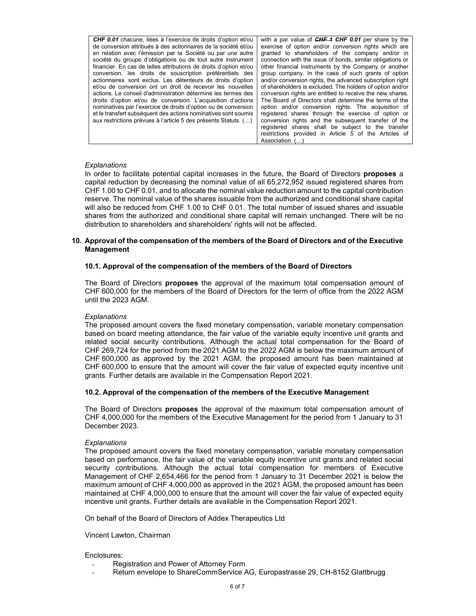CHF 0.01 chacune, liées à l'exercice de droits d'option et/ou de conversion attribués à des actionnaires de la société et/ou en relation avec l'émission par la Société ou par une autre société du groupe d'obligations ou de tout autre instrument financier. En cas de telles attributions de droits d'option et/ou conversion, les droits de souscription préférentiels des actionnaires sont exclus. Les détenteurs de droits d'option et/ou de conversion ont un droit de recevoir les nouvelles actions. Le conseil d'administration détermine les termes des droits d'option et/ou de conversion. L'acquisition d'actions nominatives par l'exercice de droits d'option ou de conversion et le transfert subséquent des actions nominatives sont soumis aux restrictions prévues à l'article 5 des présents Statuts. (…)

with a par value of  $CHF 4$  CHF 0.01 per share by the exercise of option and/or conversion rights which are granted to shareholders of the company and/or in connection with the issue of bonds, similar obligations or other financial instruments by the Company or another group company. In the case of such grants of option and/or conversion rights, the advanced subscription right of shareholders is excluded. The holders of option and/or conversion rights are entitled to receive the new shares. The Board of Directors shall determine the terms of the option and/or conversion rights. The acquisition of registered shares through the exercise of option or conversion rights and the subsequent transfer of the registered shares shall be subject to the transfer restrictions provided in Article 5 of the Articles of Association  $($   $)$ 

#### **Explanations**

In order to facilitate potential capital increases in the future, the Board of Directors **proposes** a capital reduction by decreasing the nominal value of all 65,272,952 issued registered shares from CHF 1.00 to CHF 0.01, and to allocate the nominal value reduction amount to the capital contribution reserve. The nominal value of the shares issuable from the authorized and conditional share capital will also be reduced from CHF 1.00 to CHF 0.01. The total number of issued shares and issuable shares from the authorized and conditional share capital will remain unchanged. There will be no distribution to shareholders and shareholders' rights will not be affected.

## 10. Approval of the compensation of the members of the Board of Directors and of the Executive Management

## 10.1. Approval of the compensation of the members of the Board of Directors

The Board of Directors **proposes** the approval of the maximum total compensation amount of CHF 600,000 for the members of the Board of Directors for the term of office from the 2022 AGM until the 2023 AGM.

## **Explanations**

The proposed amount covers the fixed monetary compensation, variable monetary compensation based on board meeting attendance, the fair value of the variable equity incentive unit grants and related social security contributions. Although the actual total compensation for the Board of CHF 269,724 for the period from the 2021 AGM to the 2022 AGM is below the maximum amount of CHF 600,000 as approved by the 2021 AGM, the proposed amount has been maintained at CHF 600,000 to ensure that the amount will cover the fair value of expected equity incentive unit grants. Further details are available in the Compensation Report 2021.

#### 10.2. Approval of the compensation of the members of the Executive Management

The Board of Directors proposes the approval of the maximum total compensation amount of CHF 4,000,000 for the members of the Executive Management for the period from 1 January to 31 December 2023.

#### **Explanations**

The proposed amount covers the fixed monetary compensation, variable monetary compensation based on performance, the fair value of the variable equity incentive unit grants and related social security contributions. Although the actual total compensation for members of Executive Management of CHF 2,654,466 for the period from 1 January to 31 December 2021 is below the maximum amount of CHF 4,000,000 as approved in the 2021 AGM, the proposed amount has been maintained at CHF 4,000,000 to ensure that the amount will cover the fair value of expected equity incentive unit grants. Further details are available in the Compensation Report 2021.

On behalf of the Board of Directors of Addex Therapeutics Ltd

#### Vincent Lawton, Chairman

#### Enclosures:

- Registration and Power of Attorney Form
- Return envelope to ShareCommService AG, Europastrasse 29, CH-8152 Glattbrugg